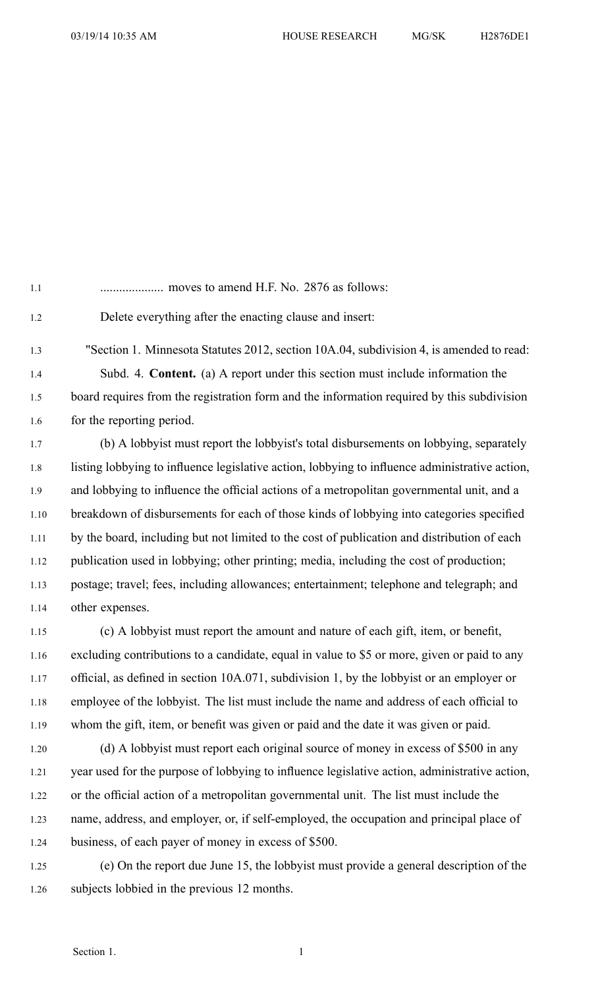1.6 for the reporting period.

1.1 .................... moves to amend H.F. No. 2876 as follows: 1.2 Delete everything after the enacting clause and insert: 1.3 "Section 1. Minnesota Statutes 2012, section 10A.04, subdivision 4, is amended to read: 1.4 Subd. 4. **Content.** (a) A repor<sup>t</sup> under this section must include information the 1.5 board requires from the registration form and the information required by this subdivision

1.7 (b) A lobbyist must repor<sup>t</sup> the lobbyist's total disbursements on lobbying, separately 1.8 listing lobbying to influence legislative action, lobbying to influence administrative action, 1.9 and lobbying to influence the official actions of <sup>a</sup> metropolitan governmental unit, and <sup>a</sup> 1.10 breakdown of disbursements for each of those kinds of lobbying into categories specified 1.11 by the board, including but not limited to the cost of publication and distribution of each 1.12 publication used in lobbying; other printing; media, including the cost of production; 1.13 postage; travel; fees, including allowances; entertainment; telephone and telegraph; and 1.14 other expenses.

1.15 (c) A lobbyist must repor<sup>t</sup> the amount and nature of each gift, item, or benefit, 1.16 excluding contributions to <sup>a</sup> candidate, equal in value to \$5 or more, given or paid to any 1.17 official, as defined in section 10A.071, subdivision 1, by the lobbyist or an employer or 1.18 employee of the lobbyist. The list must include the name and address of each official to 1.19 whom the gift, item, or benefit was given or paid and the date it was given or paid.

- 1.20 (d) A lobbyist must repor<sup>t</sup> each original source of money in excess of \$500 in any 1.21 year used for the purpose of lobbying to influence legislative action, administrative action, 1.22 or the official action of <sup>a</sup> metropolitan governmental unit. The list must include the 1.23 name, address, and employer, or, if self-employed, the occupation and principal place of 1.24 business, of each payer of money in excess of \$500.
- 1.25 (e) On the repor<sup>t</sup> due June 15, the lobbyist must provide <sup>a</sup> general description of the 1.26 subjects lobbied in the previous 12 months.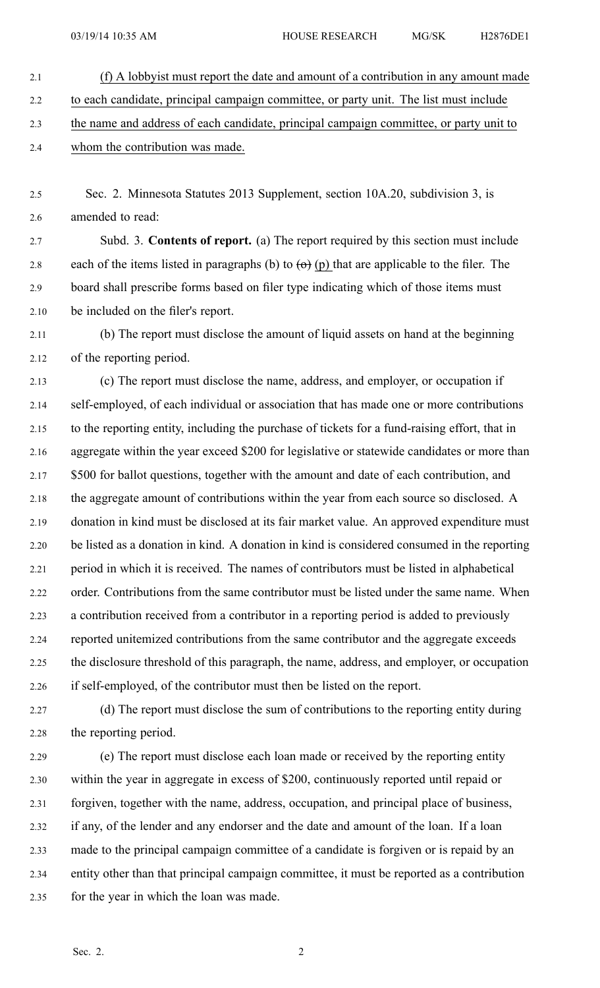- 2.1 (f) A lobbyist must repor<sup>t</sup> the date and amount of <sup>a</sup> contribution in any amount made 2.2 to each candidate, principal campaign committee, or party unit. The list must include 2.3 the name and address of each candidate, principal campaign committee, or party unit to 2.4 whom the contribution was made.
- 2.5 Sec. 2. Minnesota Statutes 2013 Supplement, section 10A.20, subdivision 3, is 2.6 amended to read:

2.7 Subd. 3. **Contents of report.** (a) The repor<sup>t</sup> required by this section must include 2.8 each of the items listed in paragraphs (b) to  $\left(\Theta\right)$  (p) that are applicable to the filer. The 2.9 board shall prescribe forms based on filer type indicating which of those items must 2.10 be included on the filer's report.

2.11 (b) The repor<sup>t</sup> must disclose the amount of liquid assets on hand at the beginning 2.12 of the reporting period.

2.13 (c) The repor<sup>t</sup> must disclose the name, address, and employer, or occupation if 2.14 self-employed, of each individual or association that has made one or more contributions 2.15 to the reporting entity, including the purchase of tickets for <sup>a</sup> fund-raising effort, that in 2.16 aggregate within the year exceed \$200 for legislative or statewide candidates or more than 2.17 \$500 for ballot questions, together with the amount and date of each contribution, and 2.18 the aggregate amount of contributions within the year from each source so disclosed. A 2.19 donation in kind must be disclosed at its fair market value. An approved expenditure must 2.20 be listed as <sup>a</sup> donation in kind. A donation in kind is considered consumed in the reporting 2.21 period in which it is received. The names of contributors must be listed in alphabetical 2.22 order. Contributions from the same contributor must be listed under the same name. When 2.23 <sup>a</sup> contribution received from <sup>a</sup> contributor in <sup>a</sup> reporting period is added to previously 2.24 reported unitemized contributions from the same contributor and the aggregate exceeds 2.25 the disclosure threshold of this paragraph, the name, address, and employer, or occupation 2.26 if self-employed, of the contributor must then be listed on the report.

2.27 (d) The repor<sup>t</sup> must disclose the sum of contributions to the reporting entity during 2.28 the reporting period.

2.29 (e) The repor<sup>t</sup> must disclose each loan made or received by the reporting entity 2.30 within the year in aggregate in excess of \$200, continuously reported until repaid or 2.31 forgiven, together with the name, address, occupation, and principal place of business, 2.32 if any, of the lender and any endorser and the date and amount of the loan. If <sup>a</sup> loan 2.33 made to the principal campaign committee of <sup>a</sup> candidate is forgiven or is repaid by an 2.34 entity other than that principal campaign committee, it must be reported as <sup>a</sup> contribution 2.35 for the year in which the loan was made.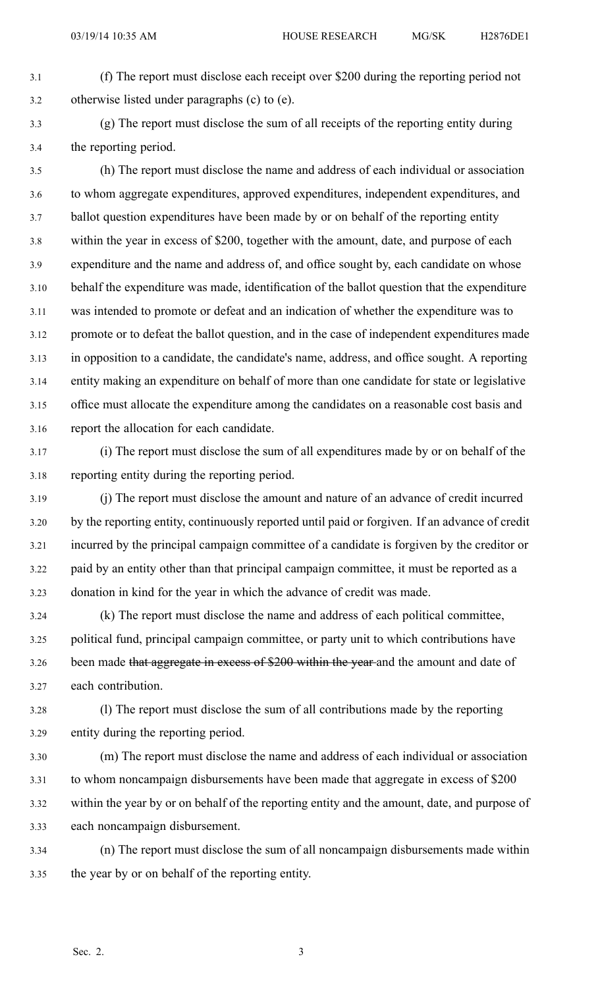- 3.1 (f) The repor<sup>t</sup> must disclose each receipt over \$200 during the reporting period not 3.2 otherwise listed under paragraphs (c) to (e).
- 

3.3 (g) The repor<sup>t</sup> must disclose the sum of all receipts of the reporting entity during 3.4 the reporting period.

3.5 (h) The repor<sup>t</sup> must disclose the name and address of each individual or association 3.6 to whom aggregate expenditures, approved expenditures, independent expenditures, and 3.7 ballot question expenditures have been made by or on behalf of the reporting entity 3.8 within the year in excess of \$200, together with the amount, date, and purpose of each 3.9 expenditure and the name and address of, and office sought by, each candidate on whose 3.10 behalf the expenditure was made, identification of the ballot question that the expenditure 3.11 was intended to promote or defeat and an indication of whether the expenditure was to 3.12 promote or to defeat the ballot question, and in the case of independent expenditures made 3.13 in opposition to <sup>a</sup> candidate, the candidate's name, address, and office sought. A reporting 3.14 entity making an expenditure on behalf of more than one candidate for state or legislative 3.15 office must allocate the expenditure among the candidates on <sup>a</sup> reasonable cost basis and 3.16 repor<sup>t</sup> the allocation for each candidate.

- 3.17 (i) The repor<sup>t</sup> must disclose the sum of all expenditures made by or on behalf of the 3.18 reporting entity during the reporting period.
- 3.19 (j) The repor<sup>t</sup> must disclose the amount and nature of an advance of credit incurred 3.20 by the reporting entity, continuously reported until paid or forgiven. If an advance of credit 3.21 incurred by the principal campaign committee of <sup>a</sup> candidate is forgiven by the creditor or 3.22 paid by an entity other than that principal campaign committee, it must be reported as <sup>a</sup> 3.23 donation in kind for the year in which the advance of credit was made.
- 3.24 (k) The repor<sup>t</sup> must disclose the name and address of each political committee, 3.25 political fund, principal campaign committee, or party unit to which contributions have 3.26 been made that aggregate in excess of \$200 within the year and the amount and date of 3.27 each contribution.
- 3.28 (l) The repor<sup>t</sup> must disclose the sum of all contributions made by the reporting 3.29 entity during the reporting period.
- 3.30 (m) The repor<sup>t</sup> must disclose the name and address of each individual or association 3.31 to whom noncampaign disbursements have been made that aggregate in excess of \$200 3.32 within the year by or on behalf of the reporting entity and the amount, date, and purpose of 3.33 each noncampaign disbursement.
- 3.34 (n) The repor<sup>t</sup> must disclose the sum of all noncampaign disbursements made within 3.35 the year by or on behalf of the reporting entity.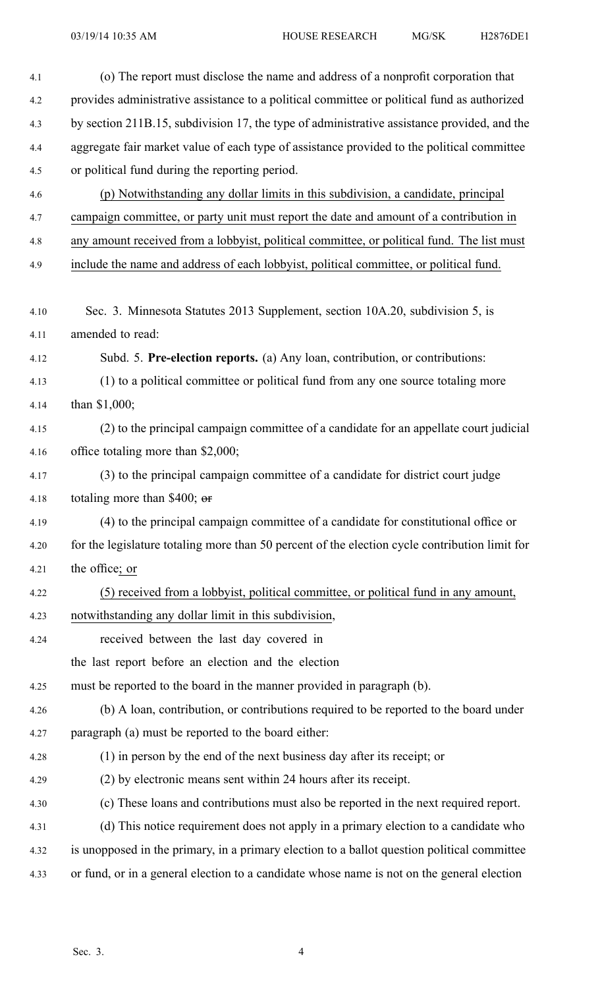| 4.1  | (o) The report must disclose the name and address of a nonprofit corporation that              |
|------|------------------------------------------------------------------------------------------------|
| 4.2  | provides administrative assistance to a political committee or political fund as authorized    |
| 4.3  | by section 211B.15, subdivision 17, the type of administrative assistance provided, and the    |
| 4.4  | aggregate fair market value of each type of assistance provided to the political committee     |
| 4.5  | or political fund during the reporting period.                                                 |
| 4.6  | (p) Notwithstanding any dollar limits in this subdivision, a candidate, principal              |
| 4.7  | campaign committee, or party unit must report the date and amount of a contribution in         |
| 4.8  | any amount received from a lobbyist, political committee, or political fund. The list must     |
| 4.9  | include the name and address of each lobbyist, political committee, or political fund.         |
|      |                                                                                                |
| 4.10 | Sec. 3. Minnesota Statutes 2013 Supplement, section 10A.20, subdivision 5, is                  |
| 4.11 | amended to read:                                                                               |
| 4.12 | Subd. 5. Pre-election reports. (a) Any loan, contribution, or contributions:                   |
| 4.13 | (1) to a political committee or political fund from any one source totaling more               |
| 4.14 | than $$1,000;$                                                                                 |
| 4.15 | (2) to the principal campaign committee of a candidate for an appellate court judicial         |
| 4.16 | office totaling more than \$2,000;                                                             |
| 4.17 | (3) to the principal campaign committee of a candidate for district court judge                |
| 4.18 | totaling more than \$400; $\sigma$                                                             |
| 4.19 | (4) to the principal campaign committee of a candidate for constitutional office or            |
| 4.20 | for the legislature totaling more than 50 percent of the election cycle contribution limit for |
| 4.21 | the office; or                                                                                 |
| 4.22 | (5) received from a lobbyist, political committee, or political fund in any amount,            |
| 4.23 | notwithstanding any dollar limit in this subdivision,                                          |
| 4.24 | received between the last day covered in                                                       |
|      | the last report before an election and the election                                            |
| 4.25 | must be reported to the board in the manner provided in paragraph (b).                         |
| 4.26 | (b) A loan, contribution, or contributions required to be reported to the board under          |
| 4.27 | paragraph (a) must be reported to the board either:                                            |
| 4.28 | (1) in person by the end of the next business day after its receipt; or                        |
| 4.29 | (2) by electronic means sent within 24 hours after its receipt.                                |
| 4.30 | (c) These loans and contributions must also be reported in the next required report.           |
| 4.31 | (d) This notice requirement does not apply in a primary election to a candidate who            |
| 4.32 | is unopposed in the primary, in a primary election to a ballot question political committee    |
| 4.33 | or fund, or in a general election to a candidate whose name is not on the general election     |